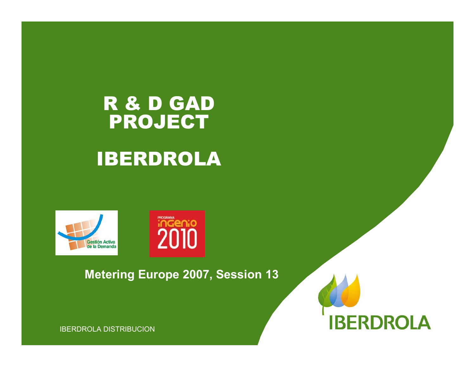# R & D GAD PROJECT IBERDROLA





#### **Metering Europe 2007, Session 13**

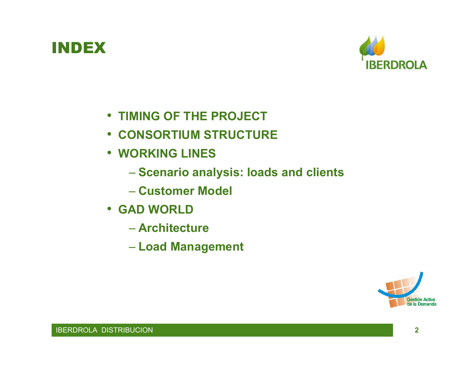### INDEX



- **TIMING OF THE PROJECT**
- **CONSORTIUM STRUCTURE**
- **WORKING LINES**
	- **Scenario analysis: loads and clients**
	- **Customer Model**
- **GAD WORLD**
	- **Architecture**
	- **Load Management**

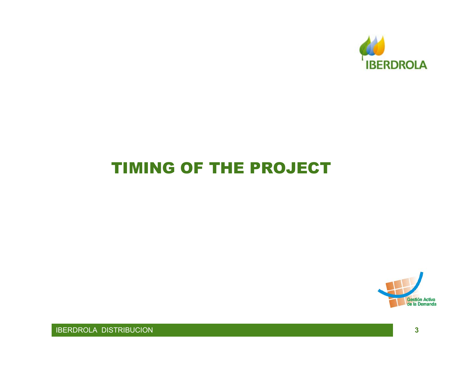

### TIMING OF THE PROJECT

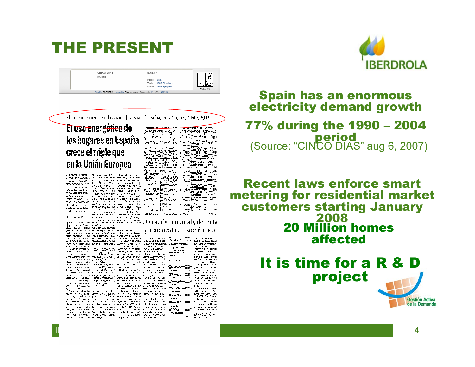### THE PRESENT

| CINCO DIAS<br>MADRID | 06/08/07                                                                 | 2747               |
|----------------------|--------------------------------------------------------------------------|--------------------|
|                      | Prensa: Diaria<br>Tirada: 58.622 Ejemplares                              | تنتقط              |
|                      | Difusión: 33.996 Elemplares                                              | 2.50<br>Página: 26 |
|                      | Sección: ECONOMÍA Impresión: Blanco y Negro Documento: 1/1 Cód: 14665599 |                    |

El consumo medio en las viviendas españolas subió un 77% entre 1990 y 2004

#### El uso energético de los hogares en España crece el triple que en la Unión Europea

Electron estate to the second and the second and the second and the second and the second and the second and the second and the second and the second and the second and the second and the second and the second and the sec des Sociales de la bien de la bien de la bien de la bien de la bien de la bien de la bien de la bien de la bien de la bien de la bien de la bien de la bien de la bien de la bien de la bien de la bien de la bien de la bien on the following the state of the state of the state of the state of the state of the state of the state of the state of the state of the state of the state of the state of the state of the state of the state of the state **Change HSB** Trust to solid solidation in addel aplacento to caso az - le palestatean

IBERDROLA DISTRIBUCION



Resort o del consumo transfer an cheate enterivelta en la factual estatuna. el lásteros portuésticos painters or us failures rancements of the common<br>affair on 2009 et 72% de com<br>Pergates your scribs adjoint [35]<br>Las recente of 1979 de 2011 to  $\begin{aligned} \text{where}&\quad \mathbf{u} = \mathbf{u} \mathbf{u} + \mathbf{u} \mathbf{u} + \mathbf{u} \mathbf{u} + \mathbf{u} \mathbf{u} \\ &\quad \mathbf{u} = \mathbf{u} \mathbf{u} + \mathbf{u} \mathbf{u} + \mathbf{u} \mathbf{u} \\ &\quad \mathbf{u} = \mathbf{u} \mathbf{u} + \mathbf{u} \mathbf{u} + \mathbf{u} \mathbf{u} + \mathbf{u} \mathbf{u} \\ &\quad \mathbf{u} = \mathbf{u} \mathbf{u} + \mathbf{u} \mathbf{u} + \math$ rapes que lo presiar sem about antes. El grano en protaenterezar est.<br>Gener de Plan two for eras electronizates  $\begin{minipage}{0.9\textwidth} \begin{tabular}{|c|c|c|c|} \hline \textbf{P} & \textbf{P} & \textbf{P} & \textbf{P} & \textbf{P} & \textbf{P} & \textbf{P} & \textbf{P} & \textbf{P} & \textbf{P} & \textbf{P} & \textbf{P} & \textbf{P} & \textbf{P} & \textbf{P} & \textbf{P} & \textbf{P} & \textbf{P} & \textbf{P} & \textbf{P} & \textbf{P} & \textbf{P} & \textbf{P} & \textbf{P} & \textbf{P} & \textbf{P} & \textbf{P$ CONTRACTORSONS IN AN Overload the 



#### Spain has an enormous electricity demand growth

#### 77% during the 1990 – 2004 period

(Source: "CINCO DIAS" aug 6, 2007)

#### Recent laws enforce smart metering for residential market customers starting January 2008 20 Million homes affected

# It is time for a R & D project



Gestión Activa de la Demanda

**4**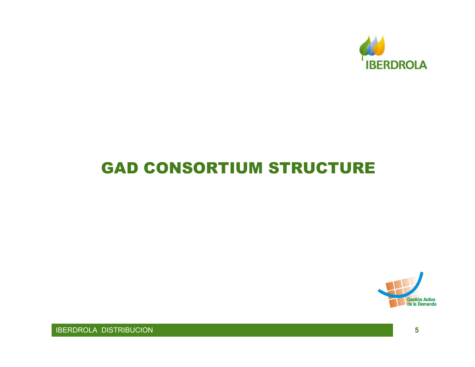

### **GAD CONSORTIUM STRUCTURE**

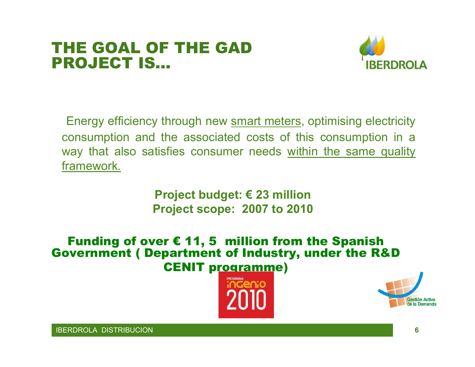#### THE GOAL OF THE GAD PROJECT IS…



Energy efficiency through new smart meters, optimising electricity consumption and the associated costs of this consumption in a way that also satisfies consumer needs within the same quality framework.

> **Project budget: € 23 million Project scope: 2007 to 2010**

Funding of over € 11, 5 million from the Spanish Government ( Department of Industry, under the R&D CENIT programme)



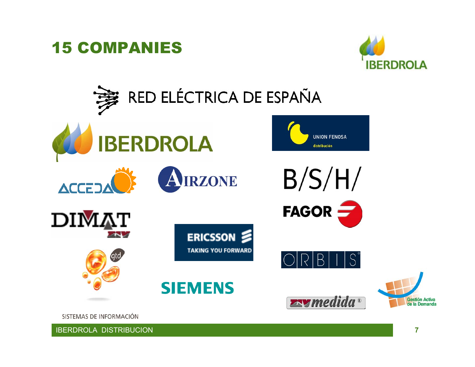



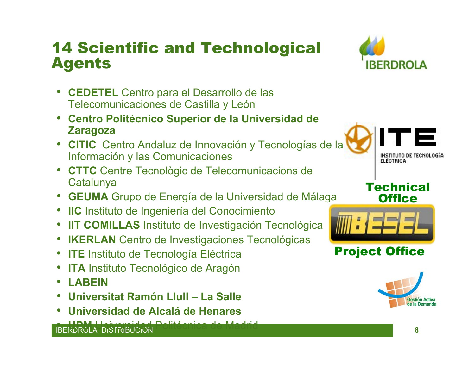### 14 Scientific and Technological Agents



- **CEDETEL** Centro para el Desarrollo de las Telecomunicaciones de Castilla y León
- **Centro Politécnico Superior de la Universidad de Zaragoza**
- **CITIC** Centro Andaluz de Innovación y Tecnologías de la Información y las Comunicaciones
- **CTTC** Centre Tecnològic de Telecomunicacions de **Catalunya**
- **GEUMA** Grupo de Energía de la Universidad de Málaga
- **IIC** Instituto de Ingeniería del Conocimiento
- **IIT COMILLAS** Instituto de Investigación Tecnológica
- **IKERLAN** Centro de Investigaciones Tecnológicas
- $\bullet$ **ITE Instituto de Tecnología Eléctrica**
- **ITA** Instituto Tecnológico de Aragón
- **LABEIN**
- **Universitat Ramón Llull – La Salle**
- **Universidad de Alcalá de Henares**

**A LIBM LIABERTADE Politécnica de Madrid**<br>IBERDROLA DISTRIBUCION **8**

**INSTITUTO DE TECNOLOGÍA ELECTRICA** 

#### **Technical Office**



#### Project Office

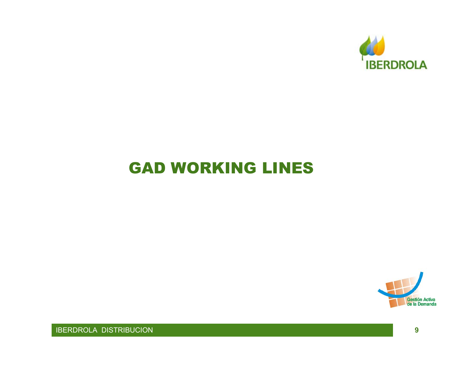

### **GAD WORKING LINES**

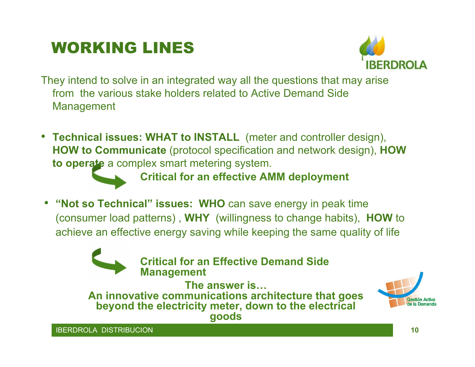# WORKING LINES



They intend to solve in an integrated way all the questions that may arise from the various stake holders related to Active Demand SideManagement

• **Technical issues: WHAT to INSTALL** (meter and controller design), **HOW to Communicate** (protocol specification and network design), **HOW to operate** a complex smart metering system.

**Critical for an effective AMM deployment**

• **"Not so Technical" issues: WHO** can save energy in peak time (consumer load patterns) , **WHY** (willingness to change habits), **HOW** to achieve an effective energy saving while keeping the same quality of life



**Critical for an Effective Demand Side Management**

**The answer is…An innovative communications architecture that goes beyond the electricity meter, down to the electrical goods**

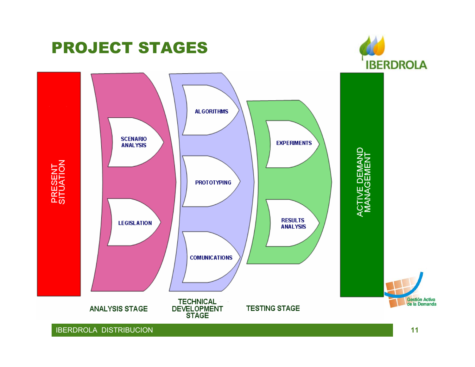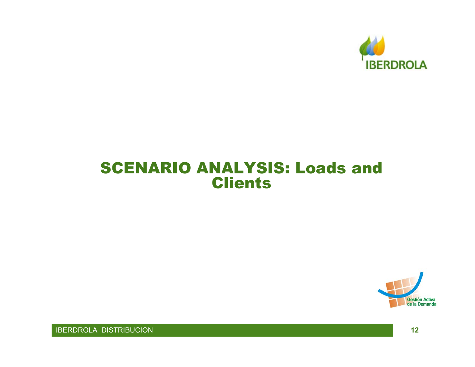

#### SCENARIO ANALYSIS: Loads and **Clients**

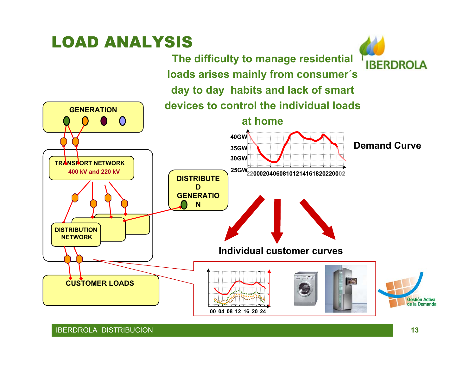# LOAD ANALYSIS

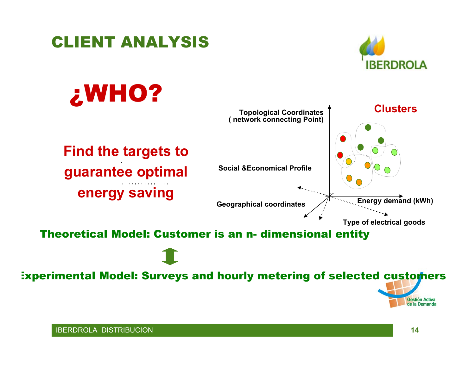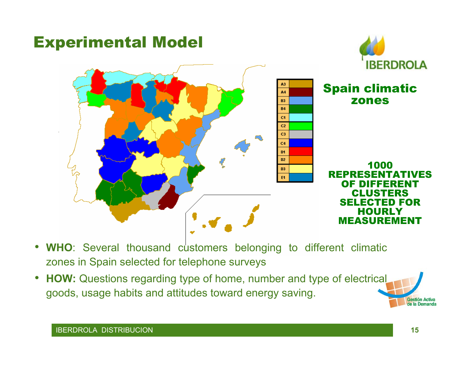

- $\bullet$ WHO: Several thousand customers belonging to different climatic zones in Spain selected for telephone surveys
- $\bullet$  **HOW:** Questions regarding type of home, number and type of electrical goods, usage habits and attitudes toward energy saving.

Gestión Activa de la Demanda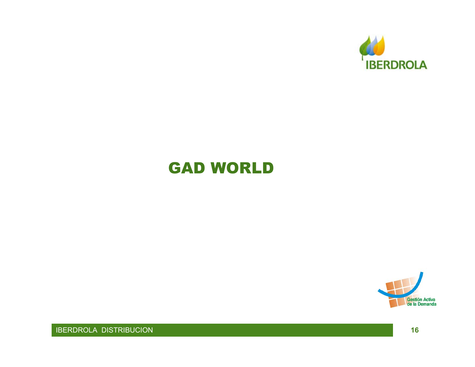

### **GAD WORLD**

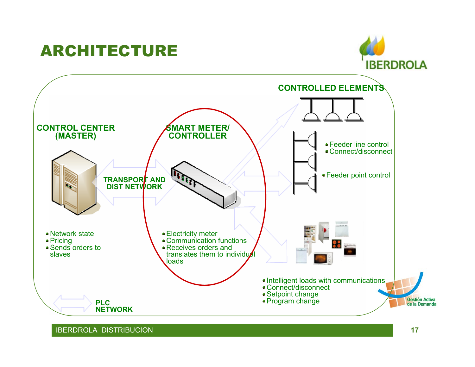# ARCHITECTURE



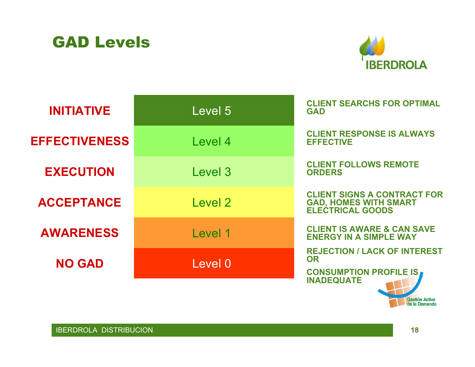



| <b>INITIATIVE</b>    | Level 5 | <b>CLIENT SEARCHS FOR OPTIMAL</b><br><b>GAD</b>                                                        |
|----------------------|---------|--------------------------------------------------------------------------------------------------------|
| <b>EFFECTIVENESS</b> | Level 4 | <b>CLIENT RESPONSE IS ALWAYS</b><br><b>EFFECTIVE</b>                                                   |
| <b>EXECUTION</b>     | Level 3 | <b>CLIENT FOLLOWS REMOTE</b><br><b>ORDERS</b>                                                          |
| <b>ACCEPTANCE</b>    | Level 2 | <b>CLIENT SIGNS A CONTRACT FOR</b><br><b>GAD, HOMES WITH SMART</b><br><b>ELECTRICAL GOODS</b>          |
| <b>AWARENESS</b>     | Level 1 | <b>CLIENT IS AWARE &amp; CAN SAVE</b><br><b>ENERGY IN A SIMPLE WAY</b>                                 |
| <b>NO GAD</b>        | Level 0 | <b>REJECTION / LACK OF INTEREST</b><br><b>OR</b><br><b>CONSUMPTION PROFILE IS</b><br><b>INADEQUATE</b> |

Gestión Activa<br>de la Demanda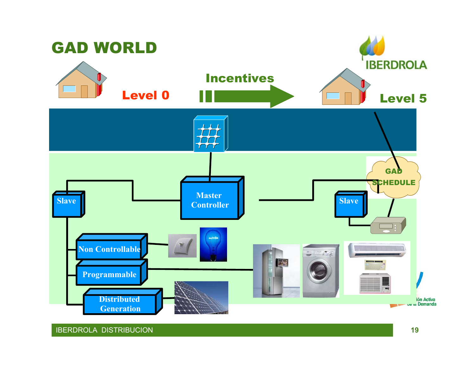